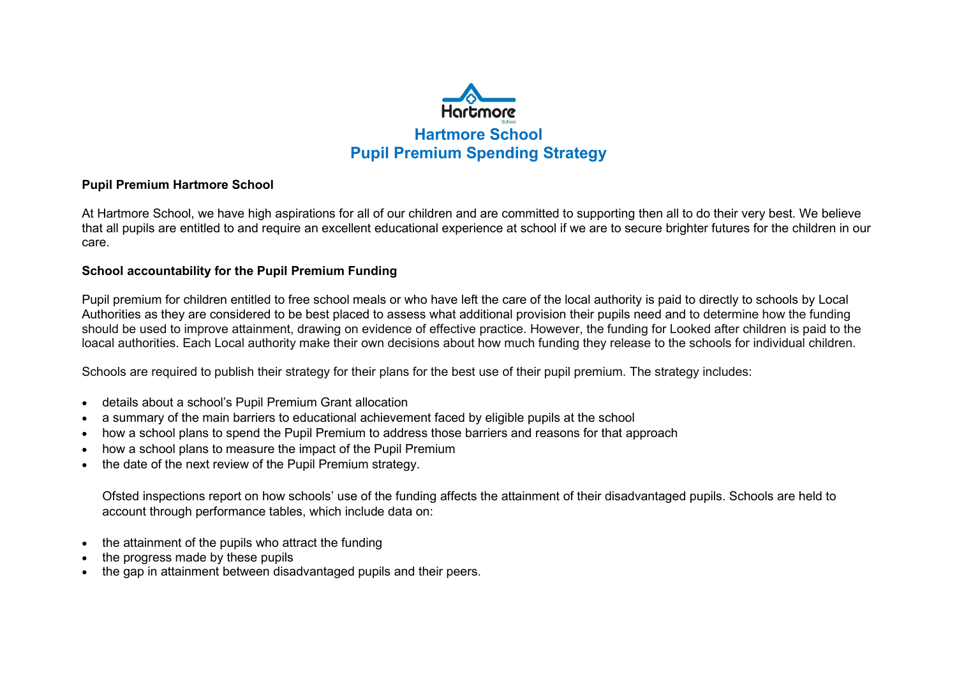

#### **Pupil Premium Hartmore School**

At Hartmore School, we have high aspirations for all of our children and are committed to supporting then all to do their very best. We believe that all pupils are entitled to and require an excellent educational experience at school if we are to secure brighter futures for the children in our care.

#### **School accountability for the Pupil Premium Funding**

Pupil premium for children entitled to free school meals or who have left the care of the local authority is paid to directly to schools by Local Authorities as they are considered to be best placed to assess what additional provision their pupils need and to determine how the funding should be used to improve attainment, drawing on evidence of effective practice. However, the funding for Looked after children is paid to the loacal authorities. Each Local authority make their own decisions about how much funding they release to the schools for individual children.

Schools are required to publish their strategy for their plans for the best use of their pupil premium. The strategy includes:

- details about a school's Pupil Premium Grant allocation
- a summary of the main barriers to educational achievement faced by eligible pupils at the school
- how a school plans to spend the Pupil Premium to address those barriers and reasons for that approach
- how a school plans to measure the impact of the Pupil Premium
- the date of the next review of the Pupil Premium strategy.

Ofsted inspections report on how schools' use of the funding affects the attainment of their disadvantaged pupils. Schools are held to account through performance tables, which include data on:

- the attainment of the pupils who attract the funding
- the progress made by these pupils
- the gap in attainment between disadvantaged pupils and their peers.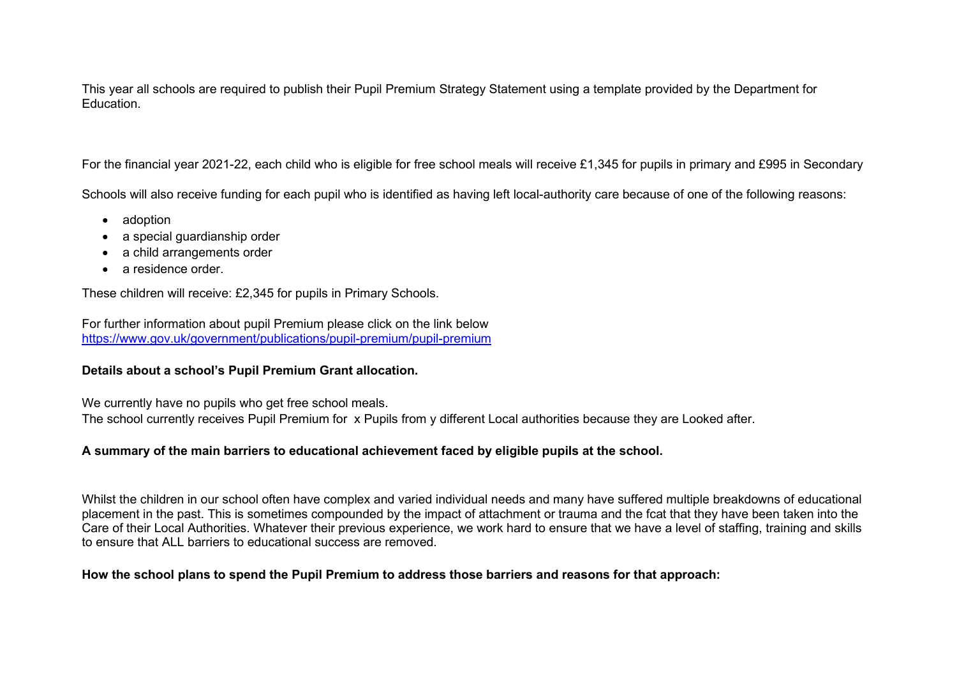This year all schools are required to publish their Pupil Premium Strategy Statement using a template provided by the Department for Education.

For the financial year 2021-22, each child who is eligible for free school meals will receive £1,345 for pupils in primary and £995 in Secondary

Schools will also receive funding for each pupil who is identified as having left local-authority care because of one of the following reasons:

- adoption
- a special quardianship order
- a child arrangements order
- a residence order

These children will receive: £2,345 for pupils in Primary Schools.

For further information about pupil Premium please click on the link below <https://www.gov.uk/government/publications/pupil-premium/pupil-premium>

### **Details about a school's Pupil Premium Grant allocation.**

We currently have no pupils who get free school meals.

The school currently receives Pupil Premium for x Pupils from y different Local authorities because they are Looked after.

### **A summary of the main barriers to educational achievement faced by eligible pupils at the school.**

Whilst the children in our school often have complex and varied individual needs and many have suffered multiple breakdowns of educational placement in the past. This is sometimes compounded by the impact of attachment or trauma and the fcat that they have been taken into the Care of their Local Authorities. Whatever their previous experience, we work hard to ensure that we have a level of staffing, training and skills to ensure that ALL barriers to educational success are removed.

### **How the school plans to spend the Pupil Premium to address those barriers and reasons for that approach:**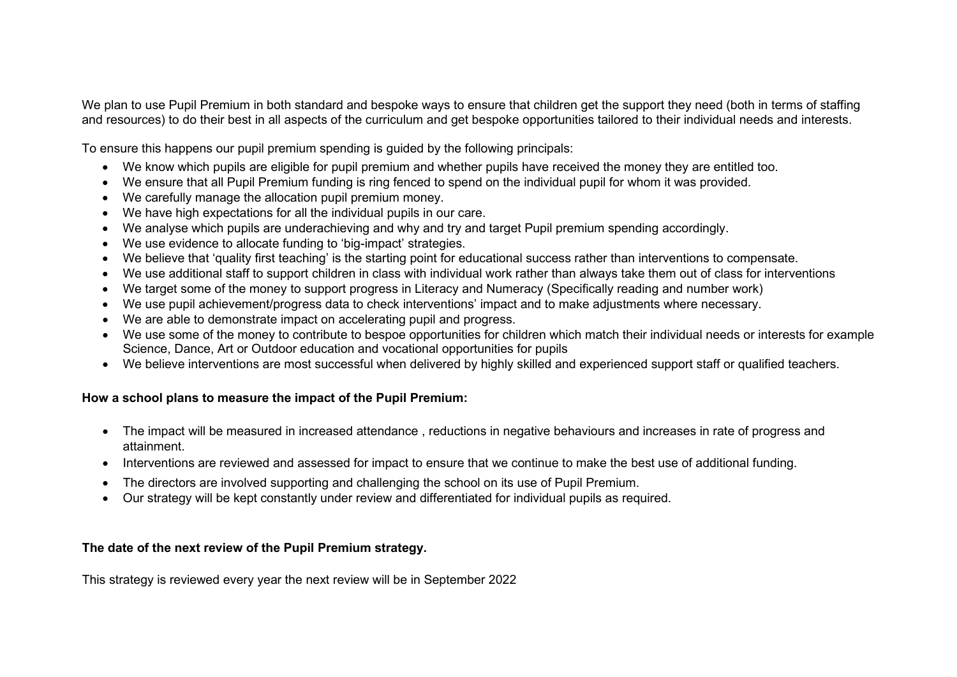We plan to use Pupil Premium in both standard and bespoke ways to ensure that children get the support they need (both in terms of staffing and resources) to do their best in all aspects of the curriculum and get bespoke opportunities tailored to their individual needs and interests.

To ensure this happens our pupil premium spending is guided by the following principals:

- We know which pupils are eligible for pupil premium and whether pupils have received the money they are entitled too.
- We ensure that all Pupil Premium funding is ring fenced to spend on the individual pupil for whom it was provided.
- We carefully manage the allocation pupil premium money.
- We have high expectations for all the individual pupils in our care.
- We analyse which pupils are underachieving and why and try and target Pupil premium spending accordingly.
- We use evidence to allocate funding to 'big-impact' strategies.
- We believe that 'quality first teaching' is the starting point for educational success rather than interventions to compensate.
- We use additional staff to support children in class with individual work rather than always take them out of class for interventions
- We target some of the money to support progress in Literacy and Numeracy (Specifically reading and number work)
- We use pupil achievement/progress data to check interventions' impact and to make adjustments where necessary.
- We are able to demonstrate impact on accelerating pupil and progress.
- We use some of the money to contribute to bespoe opportunities for children which match their individual needs or interests for example Science, Dance, Art or Outdoor education and vocational opportunities for pupils
- We believe interventions are most successful when delivered by highly skilled and experienced support staff or qualified teachers.

### **How a school plans to measure the impact of the Pupil Premium:**

- The impact will be measured in increased attendance , reductions in negative behaviours and increases in rate of progress and attainment.
- Interventions are reviewed and assessed for impact to ensure that we continue to make the best use of additional funding.
- The directors are involved supporting and challenging the school on its use of Pupil Premium.
- Our strategy will be kept constantly under review and differentiated for individual pupils as required.

### **The date of the next review of the Pupil Premium strategy.**

This strategy is reviewed every year the next review will be in September 2022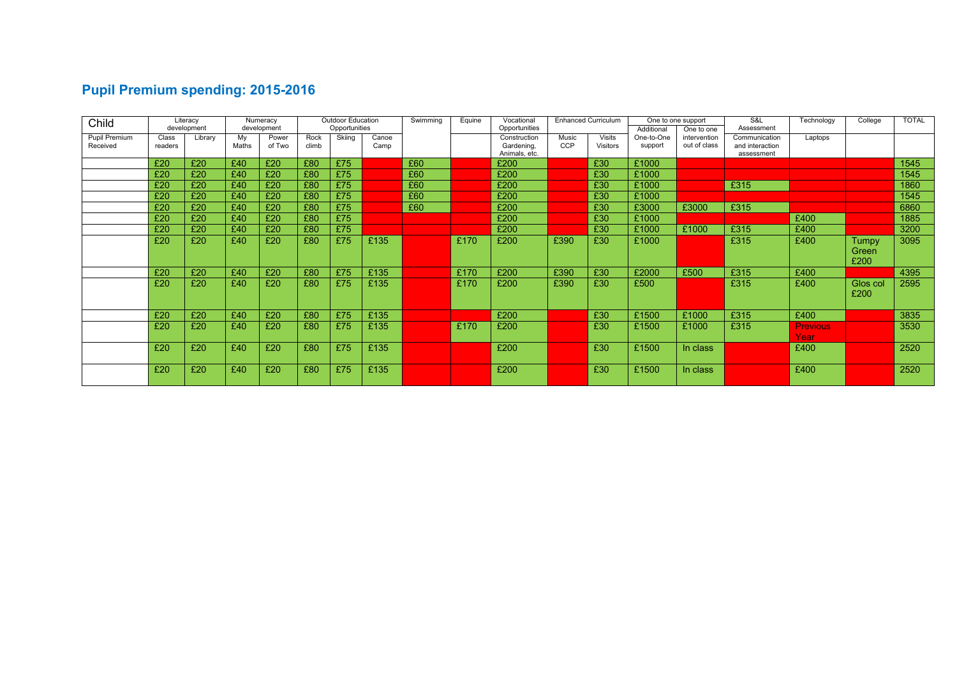# **Pupil Premium spending: 2015-2016**

| Child         |         | Literacy    |       | Numeracy    |       | <b>Outdoor Education</b> |       | Swimming | Equine | Vocational                  |            | <b>Enhanced Curriculum</b> |            | One to one support | S&L                           | Technology      | College  | <b>TOTAL</b> |
|---------------|---------|-------------|-------|-------------|-------|--------------------------|-------|----------|--------|-----------------------------|------------|----------------------------|------------|--------------------|-------------------------------|-----------------|----------|--------------|
|               |         | development |       | development |       | Opportunities            |       |          |        | Opportunities               |            |                            | Additional | One to one         | Assessment                    |                 |          |              |
| Pupil Premium | Class   | Library     | My    | Power       | Rock  | Skiing                   | Canoe |          |        | Construction                | Music      | Visits                     | One-to-One | intervention       | Communication                 | Laptops         |          |              |
| Received      | readers |             | Maths | of Two      | climb |                          | Camp  |          |        | Gardening,<br>Animals, etc. | <b>CCP</b> | <b>Visitors</b>            | support    | out of class       | and interaction<br>assessment |                 |          |              |
|               |         |             |       |             |       |                          |       |          |        |                             |            |                            |            |                    |                               |                 |          |              |
|               | £20     | £20         | £40   | £20         | £80   | £75                      |       | £60      |        | £200                        |            | £30                        | £1000      |                    |                               |                 |          | 1545         |
|               | £20     | £20         | £40   | £20         | £80   | £75                      |       | £60      |        | £200                        |            | £30                        | £1000      |                    |                               |                 |          | 1545         |
|               | £20     | £20         | £40   | £20         | £80   | £75                      |       | £60      |        | £200                        |            | £30                        | £1000      |                    | £315                          |                 |          | 1860         |
|               | £20     | £20         | £40   | £20         | £80   | £75                      |       | £60      |        | £200                        |            | £30                        | £1000      |                    |                               |                 |          | 1545         |
|               | £20     | £20         | £40   | £20         | £80   | £75                      |       | £60      |        | £200                        |            | £30                        | £3000      | £3000              | £315                          |                 |          | 6860         |
|               | £20     | £20         | £40   | £20         | £80   | £75                      |       |          |        | £200                        |            | £30                        | £1000      |                    |                               | £400            |          | 1885         |
|               | £20     | £20         | £40   | £20         | £80   | £75                      |       |          |        | £200                        |            | £30                        | £1000      | £1000              | £315                          | £400            |          | 3200         |
|               | £20     | £20         | £40   | £20         | £80   | £75                      | £135  |          | £170   | £200                        | £390       | £30                        | £1000      |                    | £315                          | £400            | Tumpy    | 3095         |
|               |         |             |       |             |       |                          |       |          |        |                             |            |                            |            |                    |                               |                 | Green    |              |
|               |         |             |       |             |       |                          |       |          |        |                             |            |                            |            |                    |                               |                 | £200     |              |
|               | £20     | £20         | £40   | £20         | £80   | £75                      | £135  |          | £170   | £200                        | £390       | £30                        | £2000      | £500               | £315                          | £400            |          | 4395         |
|               |         |             |       |             |       |                          |       |          |        |                             |            |                            |            |                    |                               |                 |          |              |
|               | £20     | £20         | £40   | £20         | £80   | £75                      | £135  |          | £170   | £200                        | £390       | £30                        | £500       |                    | £315                          | £400            | Glos col | 2595         |
|               |         |             |       |             |       |                          |       |          |        |                             |            |                            |            |                    |                               |                 | £200     |              |
|               |         |             |       |             |       |                          |       |          |        |                             |            |                            |            |                    |                               |                 |          |              |
|               | £20     | £20         | £40   | £20         | £80   | £75                      | £135  |          |        | £200                        |            | £30                        | £1500      | £1000              | £315                          | £400            |          | 3835         |
|               | £20     | £20         | £40   | £20         | £80   | £75                      | £135  |          | £170   | £200                        |            | £30                        | £1500      | £1000              | £315                          | <b>Previous</b> |          | 3530         |
|               |         |             |       |             |       |                          |       |          |        |                             |            |                            |            |                    |                               | Year            |          |              |
|               | £20     | £20         | £40   | £20         | £80   | £75                      | £135  |          |        | £200                        |            | £30                        | £1500      | In class           |                               | £400            |          | 2520         |
|               |         |             |       |             |       |                          |       |          |        |                             |            |                            |            |                    |                               |                 |          |              |
|               | £20     | £20         | £40   | £20         | £80   | £75                      | £135  |          |        | £200                        |            | £30                        | £1500      | In class           |                               | £400            |          | 2520         |
|               |         |             |       |             |       |                          |       |          |        |                             |            |                            |            |                    |                               |                 |          |              |
|               |         |             |       |             |       |                          |       |          |        |                             |            |                            |            |                    |                               |                 |          |              |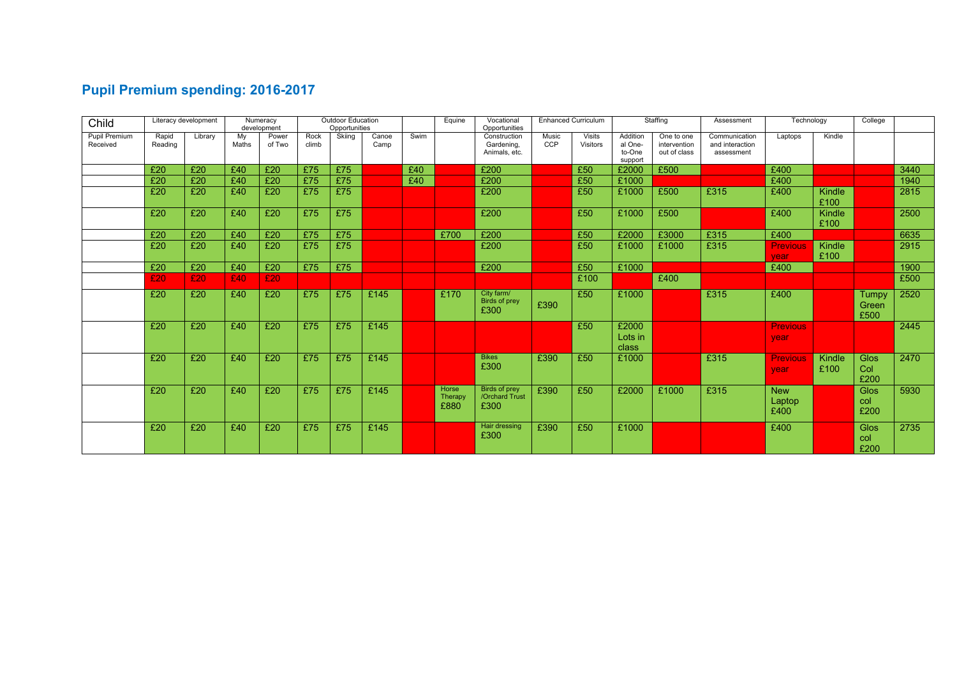# **Pupil Premium spending: 2016-2017**

| Child                     |                  | Literacy development |             | Numeracy<br>development |               | Outdoor Education<br>Opportunities |               |      | Equine                   | Vocational<br>Opportunities                    |              | <b>Enhanced Curriculum</b> |                                          | Staffing                                   | Assessment                                     | Technology                   |                | College                       |      |
|---------------------------|------------------|----------------------|-------------|-------------------------|---------------|------------------------------------|---------------|------|--------------------------|------------------------------------------------|--------------|----------------------------|------------------------------------------|--------------------------------------------|------------------------------------------------|------------------------------|----------------|-------------------------------|------|
| Pupil Premium<br>Received | Rapid<br>Reading | Library              | My<br>Maths | Power<br>of Two         | Rock<br>climb | Skiing                             | Canoe<br>Camp | Swim |                          | Construction<br>Gardening,<br>Animals, etc.    | Music<br>CCP | Visits<br>Visitors         | Addition<br>al One-<br>to-One<br>support | One to one<br>intervention<br>out of class | Communication<br>and interaction<br>assessment | Laptops                      | Kindle         |                               |      |
|                           | £20              | £20                  | £40         | £20                     | £75           | £75                                |               | £40  |                          | £200                                           |              | £50                        | £2000                                    | £500                                       |                                                | £400                         |                |                               | 3440 |
|                           | £20              | £20                  | £40         | £20                     | £75           | £75                                |               | £40  |                          | £200                                           |              | £50                        | £1000                                    |                                            |                                                | £400                         |                |                               | 1940 |
|                           | £20              | £20                  | £40         | £20                     | £75           | £75                                |               |      |                          | £200                                           |              | £50                        | £1000                                    | £500                                       | £315                                           | £400                         | Kindle<br>£100 |                               | 2815 |
|                           | £20              | £20                  | £40         | £20                     | £75           | £75                                |               |      |                          | £200                                           |              | £50                        | £1000                                    | £500                                       |                                                | £400                         | Kindle<br>£100 |                               | 2500 |
|                           | £20              | £20                  | £40         | £20                     | £75           | £75                                |               |      | £700                     | £200                                           |              | £50                        | £2000                                    | £3000                                      | £315                                           | £400                         |                |                               | 6635 |
|                           | £20              | £20                  | £40         | £20                     | £75           | £75                                |               |      |                          | £200                                           |              | £50                        | £1000                                    | £1000                                      | £315                                           | <b>Previous</b><br>vear      | Kindle<br>£100 |                               | 2915 |
|                           | £20              | £20                  | £40         | £20                     | £75           | E75                                |               |      |                          | £200                                           |              | £50                        | £1000                                    |                                            |                                                | £400                         |                |                               | 1900 |
|                           | £20              | £20                  | £40         | £20                     |               |                                    |               |      |                          |                                                |              | £100                       |                                          | £400                                       |                                                |                              |                |                               | £500 |
|                           | £20              | £20                  | £40         | £20                     | £75           | £75                                | £145          |      | £170                     | City farm/<br><b>Birds of prey</b><br>£300     | £390         | £50                        | £1000                                    |                                            | £315                                           | £400                         |                | <b>Tumpy</b><br>Green<br>£500 | 2520 |
|                           | £20              | £20                  | £40         | £20                     | £75           | £75                                | £145          |      |                          |                                                |              | £50                        | £2000<br>Lots in<br>class                |                                            |                                                | <b>Previous</b><br>vear      |                |                               | 2445 |
|                           | £20              | £20                  | £40         | £20                     | £75           | £75                                | £145          |      |                          | <b>Bikes</b><br>£300                           | £390         | £50                        | £1000                                    |                                            | £315                                           | <b>Previous</b><br>vear      | Kindle<br>£100 | <b>Glos</b><br>Col<br>£200    | 2470 |
|                           | £20              | £20                  | £40         | £20                     | £75           | £75                                | £145          |      | Horse<br>Therapy<br>£880 | <b>Birds of prey</b><br>/Orchard Trust<br>£300 | £390         | £50                        | £2000                                    | £1000                                      | £315                                           | <b>New</b><br>Laptop<br>£400 |                | <b>Glos</b><br>col<br>£200    | 5930 |
|                           | £20              | £20                  | £40         | £20                     | £75           | £75                                | £145          |      |                          | Hair dressing<br>£300                          | £390         | £50                        | £1000                                    |                                            |                                                | £400                         |                | Glos<br>col<br>£200           | 2735 |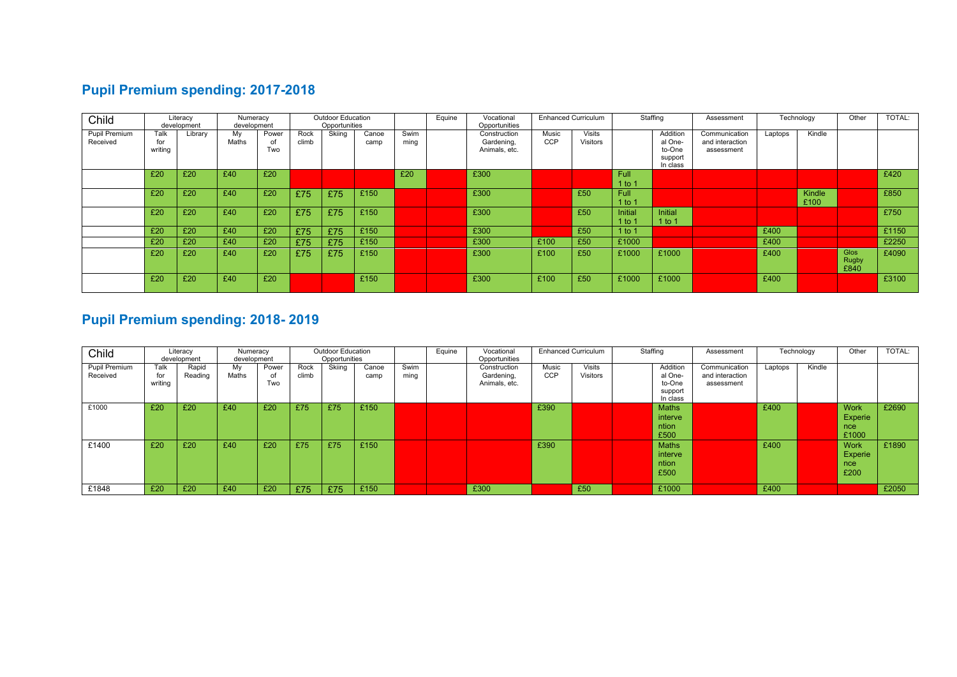## **Pupil Premium spending: 2017-2018**

| Child         |         | Literacy    |       | Numeracy<br>development |       | <b>Outdoor Education</b> |       |      | Equine | Vocational    | <b>Enhanced Curriculum</b> |               | Staffing       |          | Technology<br>Assessment |         |        | Other        | TOTAL: |
|---------------|---------|-------------|-------|-------------------------|-------|--------------------------|-------|------|--------|---------------|----------------------------|---------------|----------------|----------|--------------------------|---------|--------|--------------|--------|
|               |         | development |       |                         |       | Opportunities            |       |      |        | Opportunities |                            |               |                |          |                          |         |        |              |        |
| Pupil Premium | Talk    | Library     | My    | Power                   | Rock  | Skiing                   | Canoe | Swim |        | Construction  | Music                      | <b>Visits</b> |                | Addition | Communication            | Laptops | Kindle |              |        |
| Received      | for     |             | Maths | of                      | climb |                          | camp  | ming |        | Gardening,    | <b>CCP</b>                 | Visitors      |                | al One-  | and interaction          |         |        |              |        |
|               | writing |             |       | Two                     |       |                          |       |      |        | Animals, etc. |                            |               |                | to-One   | assessment               |         |        |              |        |
|               |         |             |       |                         |       |                          |       |      |        |               |                            |               |                |          |                          |         |        |              |        |
|               |         |             |       |                         |       |                          |       |      |        |               |                            |               |                | support  |                          |         |        |              |        |
|               |         |             |       |                         |       |                          |       |      |        |               |                            |               |                | In class |                          |         |        |              |        |
|               | £20     | £20         | £40   | £20                     |       |                          |       | £20  |        | £300          |                            |               | <b>Full</b>    |          |                          |         |        |              | £420   |
|               |         |             |       |                         |       |                          |       |      |        |               |                            |               | $1$ to 1       |          |                          |         |        |              |        |
|               |         |             |       |                         |       |                          |       |      |        |               |                            |               |                |          |                          |         |        |              |        |
|               | £20     | £20         | £40   | £20                     | £75   | £75                      | £150  |      |        | £300          |                            | £50           | Full           |          |                          |         | Kindle |              | £850   |
|               |         |             |       |                         |       |                          |       |      |        |               |                            |               | $1$ to 1       |          |                          |         | £100   |              |        |
|               | £20     | £20         | £40   | £20                     | £75   | £75                      | £150  |      |        | £300          |                            | £50           | <b>Initial</b> | Initial  |                          |         |        |              | £750   |
|               |         |             |       |                         |       |                          |       |      |        |               |                            |               |                |          |                          |         |        |              |        |
|               |         |             |       |                         |       |                          |       |      |        |               |                            |               | 1 to 1         | 1 to 1   |                          |         |        |              |        |
|               | £20     | £20         | £40   | £20                     | £75   | £75                      | £150  |      |        | £300          |                            | £50           | $1$ to 1       |          |                          | £400    |        |              | £1150  |
|               | £20     | £20         | £40   | £20                     | £75   | £75                      | £150  |      |        | £300          | £100                       | £50           | £1000          |          |                          | £400    |        |              | £2250  |
|               |         |             |       |                         |       |                          |       |      |        |               |                            |               |                |          |                          |         |        |              |        |
|               | £20     | £20         | £40   | £20                     | £75   | £75                      | £150  |      |        | £300          | £100                       | £50           | £1000          | £1000    |                          | £400    |        | Glos         | £4090  |
|               |         |             |       |                         |       |                          |       |      |        |               |                            |               |                |          |                          |         |        | <b>Rugby</b> |        |
|               |         |             |       |                         |       |                          |       |      |        |               |                            |               |                |          |                          |         |        | £840         |        |
|               |         |             |       |                         |       |                          |       |      |        |               |                            |               |                |          |                          |         |        |              |        |
|               | £20     | £20         | £40   | £20                     |       |                          | £150  |      |        | £300          | £100                       | £50           | £1000          | £1000    |                          | £400    |        |              | £3100  |
|               |         |             |       |                         |       |                          |       |      |        |               |                            |               |                |          |                          |         |        |              |        |

# **Pupil Premium spending: 2018- 2019**

| Child                     |                        | Literacy<br>development | Numeracy<br>development |                    | <b>Outdoor Education</b><br>Opportunities |        |               |              | Equine | Vocational<br>Opportunities                 |                     | <b>Enhanced Curriculum</b> |  | Staffing                                             | Assessment                                     | Technology |        | Other                                  | TOTAL: |
|---------------------------|------------------------|-------------------------|-------------------------|--------------------|-------------------------------------------|--------|---------------|--------------|--------|---------------------------------------------|---------------------|----------------------------|--|------------------------------------------------------|------------------------------------------------|------------|--------|----------------------------------------|--------|
| Pupil Premium<br>Received | Talk<br>for<br>writing | Rapid<br>Reading        | My<br>Maths             | Power<br>of<br>Two | Rock<br>climb                             | Skiing | Canoe<br>camp | Swim<br>ming |        | Construction<br>Gardening,<br>Animals, etc. | Music<br><b>CCP</b> | <b>Visits</b><br>Visitors  |  | Addition<br>al One-<br>to-One<br>support<br>In class | Communication<br>and interaction<br>assessment | Laptops    | Kindle |                                        |        |
| £1000                     | £20                    | £20                     | £40                     | £20                | £75                                       | £75    | £150          |              |        |                                             | £390                |                            |  | <b>Maths</b><br>interve<br>ntion<br>£500             |                                                | £400       |        | <b>Work</b><br>Experie<br>nce<br>£1000 | £2690  |
| £1400                     | £20                    | £20                     | £40                     | £20                | £75                                       | £75    | £150          |              |        |                                             | £390                |                            |  | <b>Maths</b><br>interve<br>ntion<br>£500             |                                                | £400       |        | <b>Work</b><br>Experie<br>nce<br>£200  | £1890  |
| £1848                     | £20                    | £20                     | £40                     | £20                | £75                                       | £75    | £150          |              |        | £300                                        |                     | £50                        |  | £1000                                                |                                                | £400       |        |                                        | £2050  |